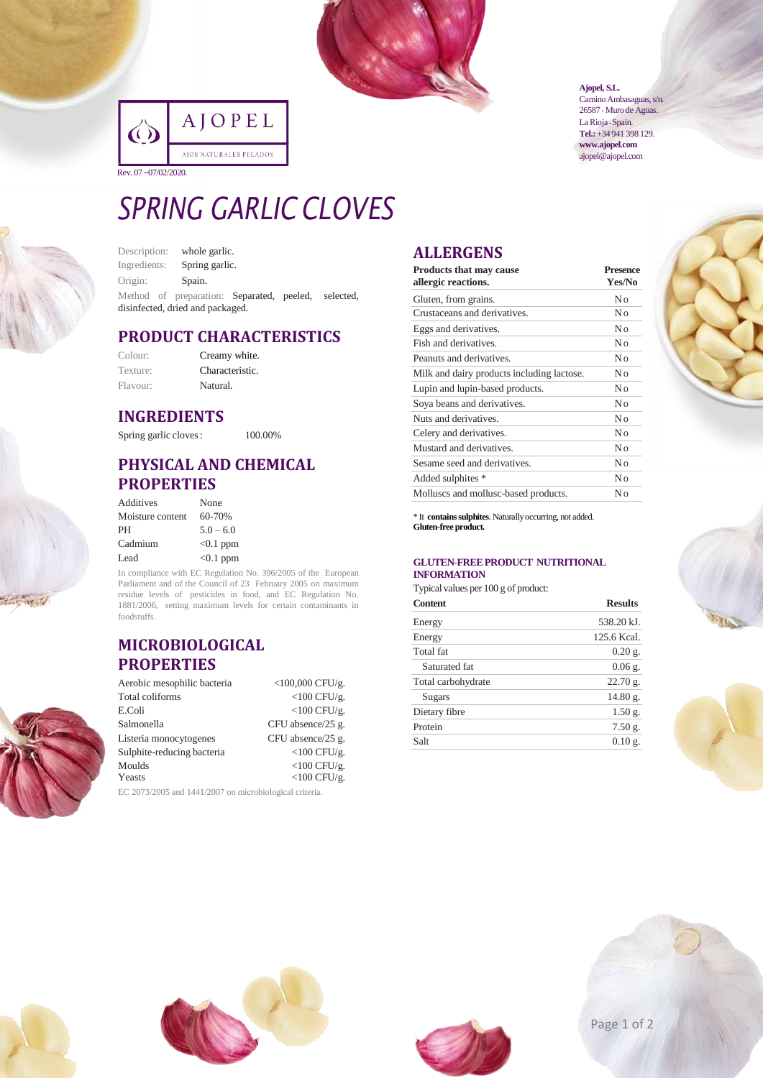

|                     | AJOPEL                 |
|---------------------|------------------------|
|                     | AJOS NATURALES PELADOS |
| Rev. 07-07/02/2020. |                        |

#### **Ajopel, S.L.**

Camino Ambasaguas, s/n. 26587 • Muro de Aguas. La Rioja · Spain. **Tel.:**+34 941 398 129. **www.ajopel.com** ajopel@ajopel.com

# *SPRING GARLIC CLOVES*

| Description:                     | whole garlic.                                       |  |  |  |
|----------------------------------|-----------------------------------------------------|--|--|--|
| Ingredients:                     | Spring garlic.                                      |  |  |  |
| Origin:                          | Spain.                                              |  |  |  |
|                                  | Method of preparation: Separated, peeled, selected, |  |  |  |
| disinfected, dried and packaged. |                                                     |  |  |  |

#### **PRODUCT CHARACTERISTICS**

| Colour:  | Creamy white.   |
|----------|-----------------|
| Texture: | Characteristic. |
| Flavour: | Natural.        |

#### **INGREDIENTS**

Spring garlic cloves: 100.00%

#### **PHYSICAL AND CHEMICAL PROPERTIES**

| Additives        | None        |
|------------------|-------------|
| Moisture content | 60-70%      |
| PH               | $5.0 - 6.0$ |
| Cadmium          | $<0.1$ ppm  |
| Lead             | $< 0.1$ ppm |

In compliance with EC Regulation No. 396/2005 of the European Parliament and of the Council of 23 February 2005 on maximum residue levels of pesticides in food, and EC Regulation No. 1881/2006, setting maximum levels for certain contaminants in foodstuffs.

#### **MICROBIOLOGICAL PROPERTIES**

| Aerobic mesophilic bacteria                             | $<$ 100,000 CFU/g. |  |
|---------------------------------------------------------|--------------------|--|
| Total coliforms                                         | $<$ 100 CFU/g.     |  |
| E.Coli                                                  | $<$ 100 CFU/g.     |  |
| Salmonella                                              | CFU absence/25 g.  |  |
| Listeria monocytogenes                                  | CFU absence/25 g.  |  |
| Sulphite-reducing bacteria                              | $<$ 100 CFU/g.     |  |
| Moulds                                                  | $<$ 100 CFU/g.     |  |
| Yeasts                                                  | $<$ 100 CFU/g.     |  |
| EC 2073/2005 and 1441/2007 on microbiological criteria. |                    |  |

## **ALLERGENS**

| <b>Products that may cause</b><br>allergic reactions. | <b>Presence</b><br>Yes/No |
|-------------------------------------------------------|---------------------------|
| Gluten, from grains.                                  | No                        |
| Crustaceans and derivatives.                          | No                        |
| Eggs and derivatives.                                 | No                        |
| Fish and derivatives.                                 | No                        |
| Peanuts and derivatives.                              | No                        |
| Milk and dairy products including lactose.            | No                        |
| Lupin and lupin-based products.                       | No                        |
| Soya beans and derivatives.                           | No                        |
| Nuts and derivatives.                                 | No                        |
| Celery and derivatives.                               | No                        |
| Mustard and derivatives.                              | No                        |
| Sesame seed and derivatives.                          | No                        |
| Added sulphites *                                     | No                        |
| Molluscs and mollusc-based products.                  | Nο                        |

\* It **containssulphites**. Naturallyoccurring, not added. **Gluten-free product.**

#### **GLUTEN-FREEPRODUCT NUTRITIONAL INFORMATION**

Typical values per 100 g of product:

| <b>Content</b>     | <b>Results</b> |  |
|--------------------|----------------|--|
| Energy             | 538.20 kJ.     |  |
| Energy             | 125.6 Kcal.    |  |
| Total fat          | $0.20$ g.      |  |
| Saturated fat      | $0.06$ g.      |  |
| Total carbohydrate | $22.70$ g.     |  |
| Sugars             | 14.80 g.       |  |
| Dietary fibre      | $1.50$ g.      |  |
| Protein            | $7.50$ g.      |  |
| Salt               | $0.10$ g.      |  |